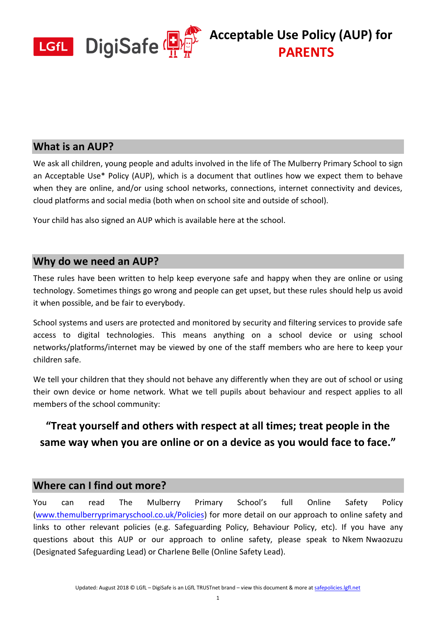

### **What is an AUP?**

We ask all children, young people and adults involved in the life of The Mulberry Primary School to sign an Acceptable Use\* Policy (AUP), which is a document that outlines how we expect them to behave when they are online, and/or using school networks, connections, internet connectivity and devices, cloud platforms and social media (both when on school site and outside of school).

Your child has also signed an AUP which is available here at the school.

## **Why do we need an AUP?**

These rules have been written to help keep everyone safe and happy when they are online or using technology. Sometimes things go wrong and people can get upset, but these rules should help us avoid it when possible, and be fair to everybody.

School systems and users are protected and monitored by security and filtering services to provide safe access to digital technologies. This means anything on a school device or using school networks/platforms/internet may be viewed by one of the staff members who are here to keep your children safe.

We tell your children that they should not behave any differently when they are out of school or using their own device or home network. What we tell pupils about behaviour and respect applies to all members of the school community:

## **"Treat yourself and others with respect at all times; treat people in the same way when you are online or on a device as you would face to face."**

### **Where can I find out more?**

You can read The Mulberry Primary School's full Online Safety Policy [\(www.themulberryprimaryschool.co.uk/Policies\)](http://www.themulberryprimaryschool.co.uk/Policies) for more detail on our approach to online safety and links to other relevant policies (e.g. Safeguarding Policy, Behaviour Policy, etc). If you have any questions about this AUP or our approach to online safety, please speak to Nkem Nwaozuzu (Designated Safeguarding Lead) or Charlene Belle (Online Safety Lead).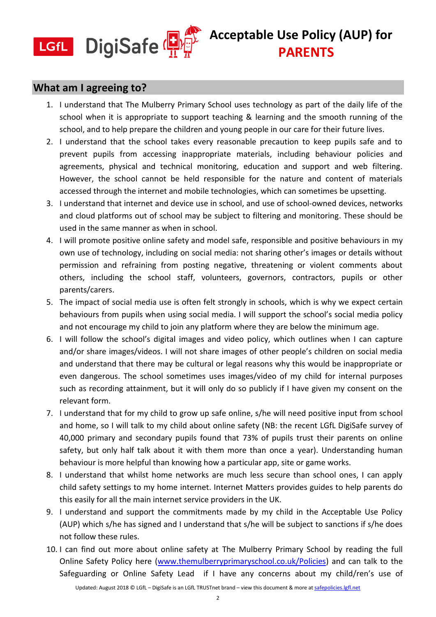

#### **What am I agreeing to?**

- 1. I understand that The Mulberry Primary School uses technology as part of the daily life of the school when it is appropriate to support teaching & learning and the smooth running of the school, and to help prepare the children and young people in our care for their future lives.
- 2. I understand that the school takes every reasonable precaution to keep pupils safe and to prevent pupils from accessing inappropriate materials, including behaviour policies and agreements, physical and technical monitoring, education and support and web filtering. However, the school cannot be held responsible for the nature and content of materials accessed through the internet and mobile technologies, which can sometimes be upsetting.
- 3. I understand that internet and device use in school, and use of school-owned devices, networks and cloud platforms out of school may be subject to filtering and monitoring. These should be used in the same manner as when in school.
- 4. I will promote positive online safety and model safe, responsible and positive behaviours in my own use of technology, including on social media: not sharing other's images or details without permission and refraining from posting negative, threatening or violent comments about others, including the school staff, volunteers, governors, contractors, pupils or other parents/carers.
- 5. The impact of social media use is often felt strongly in schools, which is why we expect certain behaviours from pupils when using social media. I will support the school's social media policy and not encourage my child to join any platform where they are below the minimum age.
- 6. I will follow the school's digital images and video policy, which outlines when I can capture and/or share images/videos. I will not share images of other people's children on social media and understand that there may be cultural or legal reasons why this would be inappropriate or even dangerous. The school sometimes uses images/video of my child for internal purposes such as recording attainment, but it will only do so publicly if I have given my consent on the relevant form.
- 7. I understand that for my child to grow up safe online, s/he will need positive input from school and home, so I will talk to my child about online safety (NB: the recent LGfL DigiSafe survey of 40,000 primary and secondary pupils found that 73% of pupils trust their parents on online safety, but only half talk about it with them more than once a year). Understanding human behaviour is more helpful than knowing how a particular app, site or game works.
- 8. I understand that whilst home networks are much less secure than school ones, I can apply child safety settings to my home internet. Internet Matters provides guides to help parents do this easily for all the main internet service providers in the UK.
- 9. I understand and support the commitments made by my child in the Acceptable Use Policy (AUP) which s/he has signed and I understand that s/he will be subject to sanctions if s/he does not follow these rules.
- 10. I can find out more about online safety at The Mulberry Primary School by reading the full Online Safety Policy here [\(www.themulberryprimaryschool.co.uk/Policies\)](http://www.themulberryprimaryschool.co.uk/Policies) and can talk to the Safeguarding or Online Safety Lead if I have any concerns about my child/ren's use of